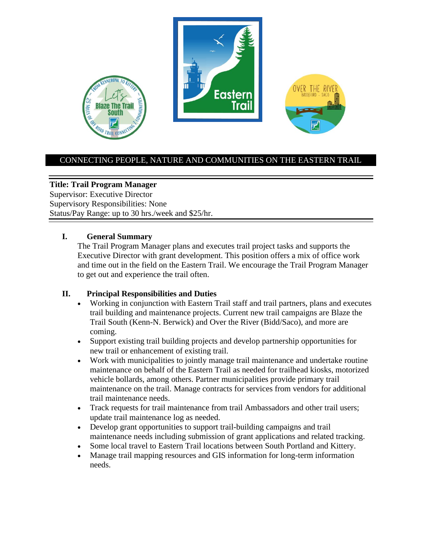

### CONNECTING PEOPLE, NATURE AND COMMUNITIES ON THE EASTERN TRAIL

### **Title: Trail Program Manager**

Supervisor: Executive Director Supervisory Responsibilities: None Status/Pay Range: up to 30 hrs./week and \$25/hr.

#### **I. General Summary**

The Trail Program Manager plans and executes trail project tasks and supports the Executive Director with grant development. This position offers a mix of office work and time out in the field on the Eastern Trail. We encourage the Trail Program Manager to get out and experience the trail often.

### **II. Principal Responsibilities and Duties**

- Working in conjunction with Eastern Trail staff and trail partners, plans and executes trail building and maintenance projects. Current new trail campaigns are Blaze the Trail South (Kenn-N. Berwick) and Over the River (Bidd/Saco), and more are coming.
- Support existing trail building projects and develop partnership opportunities for new trail or enhancement of existing trail.
- Work with municipalities to jointly manage trail maintenance and undertake routine maintenance on behalf of the Eastern Trail as needed for trailhead kiosks, motorized vehicle bollards, among others. Partner municipalities provide primary trail maintenance on the trail. Manage contracts for services from vendors for additional trail maintenance needs.
- Track requests for trail maintenance from trail Ambassadors and other trail users; update trail maintenance log as needed.
- Develop grant opportunities to support trail-building campaigns and trail maintenance needs including submission of grant applications and related tracking.
- Some local travel to Eastern Trail locations between South Portland and Kittery.
- Manage trail mapping resources and GIS information for long-term information needs.